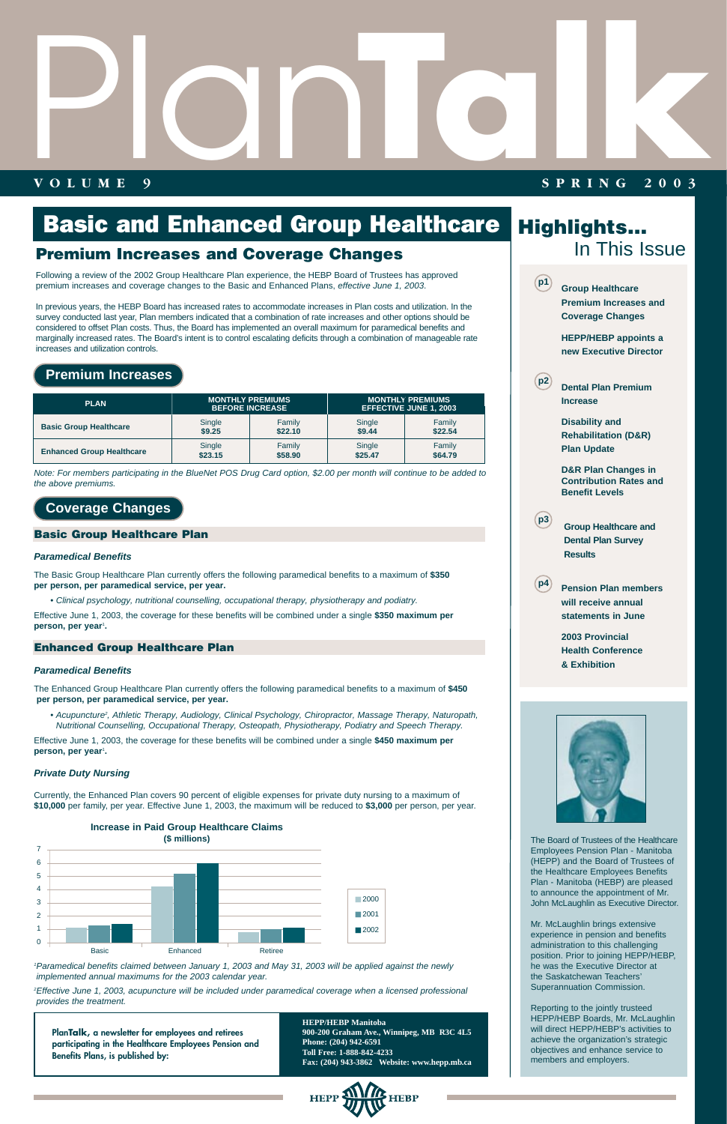# Plan

## **VOLUME 9 SPRING 2003 TALK SPRING 2003**

#### **Premium Increases and Coverage Changes**

Following a review of the 2002 Group Healthcare Plan experience, the HEBP Board of Trustees has approved premium increases and coverage changes to the Basic and Enhanced Plans, effective June 1, 2003.

In previous years, the HEBP Board has increased rates to accommodate increases in Plan costs and utilization. In the survey conducted last year, Plan members indicated that a combination of rate increases and other options should be considered to offset Plan costs. Thus, the Board has implemented an overall maximum for paramedical benefits and marginally increased rates. The Board's intent is to control escalating deficits through a combination of manageable rate increases and utilization controls.

**PlanTalk, a newsletter for employees and retirees participating in the Healthcare Employees Pension and Benefits Plans, is published by:**

Effective June 1, 2003, the coverage for these benefits will be combined under a single **\$350 maximum per**  person, per year<sup>1</sup>.

> **HEPP/HEBP Manitoba 900-200 Graham Ave., Winnipeg, MB R3C 4L5 Phone: (204) 942-6591 Toll Free: 1-888-842-4233 Fax: (204) 943-3862 Website: www.hepp.mb.ca**



Effective June 1, 2003, the coverage for these benefits will be combined under a single **\$450 maximum per**  person, per year<sup>1</sup>.





**Highlights...**

In This Issue

### Basic and Enhanced Group Healthcare

#### **Basic Group Healthcare Plan**

#### **Paramedical Benefits**

The Basic Group Healthcare Plan currently offers the following paramedical benefits to a maximum of **\$350 per person, per paramedical service, per year.**

• Clinical psychology, nutritional counselling, occupational therapy, physiotherapy and podiatry.

#### **Enhanced Group Healthcare Plan**

#### **Paramedical Benefits**

The Enhanced Group Healthcare Plan currently offers the following paramedical benefits to a maximum of **\$450 per person, per paramedical service, per year.**

• Acupuncture2 , Athletic Therapy, Audiology, Clinical Psychology, Chiropractor, Massage Therapy, Naturopath, Nutritional Counselling, Occupational Therapy, Osteopath, Physiotherapy, Podiatry and Speech Therapy.

#### **Private Duty Nursing**

Currently, the Enhanced Plan covers 90 percent of eligible expenses for private duty nursing to a maximum of **\$10,000** per family, per year. Effective June 1, 2003, the maximum will be reduced to **\$3,000** per person, per year.

#### **Premium Increases**

#### **Coverage Changes**

| <b>PLAN</b>                      | <b>MONTHLY PREMIUMS</b><br><b>BEFORE INCREASE</b> |         | <b>MONTHLY PREMIUMS</b><br><b>EFFECTIVE JUNE 1, 2003</b> |         |
|----------------------------------|---------------------------------------------------|---------|----------------------------------------------------------|---------|
| <b>Basic Group Healthcare</b>    | Single                                            | Family  | Single                                                   | Family  |
|                                  | \$9.25                                            | \$22.10 | \$9.44                                                   | \$22.54 |
| <b>Enhanced Group Healthcare</b> | Single                                            | Family  | Single                                                   | Family  |
|                                  | \$23.15                                           | \$58,90 | \$25.47                                                  | \$64.79 |

Note: For members participating in the BlueNet POS Drug Card option, \$2.00 per month will continue to be added to the above premiums.

> The Board of Trustees of the Healthcare Employees Pension Plan - Manitoba (HEPP) and the Board of Trustees of the Healthcare Employees Benefits Plan - Manitoba (HEBP) are pleased to announce the appointment of Mr. John McLaughlin as Executive Director.

Mr. McLaughlin brings extensive experience in pension and benefits administration to this challenging position. Prior to joining HEPP/HEBP, he was the Executive Director at the Saskatchewan Teachers' Superannuation Commission.

Reporting to the jointly trusteed HEPP/HEBP Boards, Mr. McLaughlin will direct HEPP/HEBP's activities to achieve the organization's strategic objectives and enhance service to members and employers.



#### **Increase in Paid Group Healthcare Claims (\$ millions)**

1 Paramedical benefits claimed between January 1, 2003 and May 31, 2003 will be applied against the newly implemented annual maximums for the 2003 calendar year.

2 Effective June 1, 2003, acupuncture will be included under paramedical coverage when a licensed professional provides the treatment.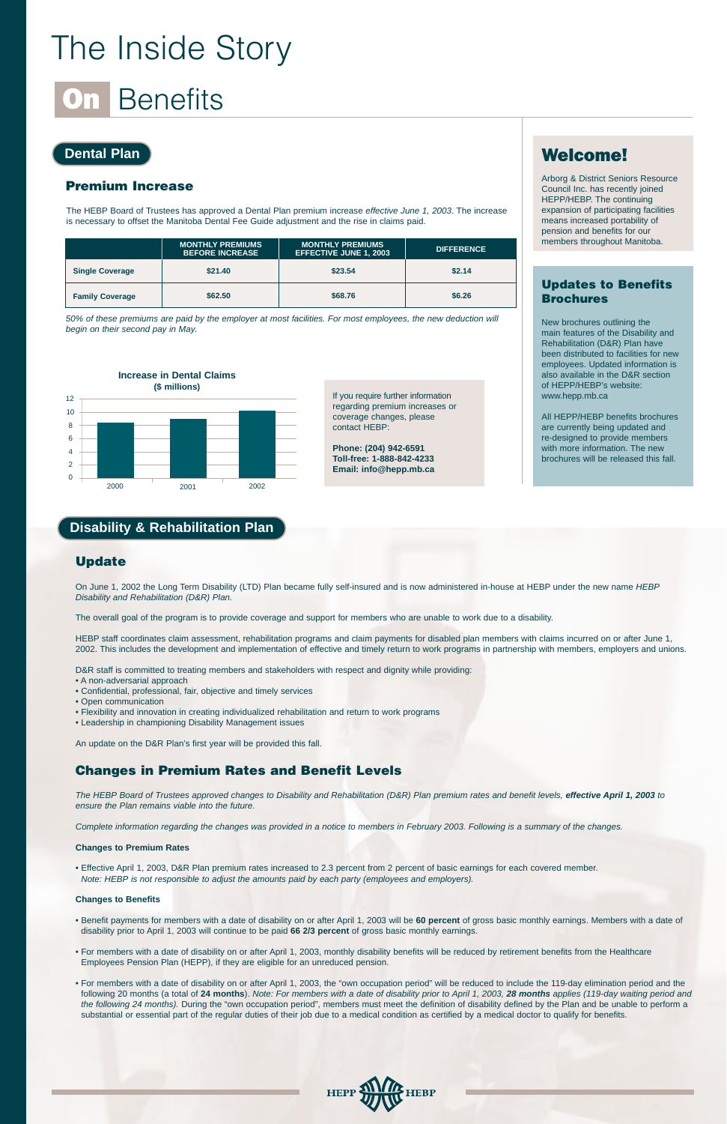## The Inside Story **Benefits**

#### **Dental Plan**

#### **Disability & Rehabilitation Plan**

The HEBP Board of Trustees has approved a Dental Plan premium increase effective June 1, 2003. The increase is necessary to offset the Manitoba Dental Fee Guide adjustment and the rise in claims paid.

#### **Premium Increase**

|                        | <b>MONTHLY PREMIUMS</b><br><b>BEFORE INCREASE</b> | <b>MONTHLY PREMIUMS</b><br><b>EFFECTIVE JUNE 1, 2003</b> | <b>DIFFERENCE</b> |
|------------------------|---------------------------------------------------|----------------------------------------------------------|-------------------|
| <b>Single Coverage</b> | \$21.40                                           | \$23.54                                                  | \$2.14            |
| <b>Family Coverage</b> | \$62.50                                           | \$68.76                                                  | \$6.26            |

50% of these premiums are paid by the employer at most facilities. For most employees, the new deduction will begin on their second pay in May.

On June 1, 2002 the Long Term Disability (LTD) Plan became fully self-insured and is now administered in-house at HEBP under the new name HEBP Disability and Rehabilitation (D&R) Plan.



If you require further information regarding premium increases or coverage changes, please contact HEBP:

**Phone: (204) 942-6591 Toll-free: 1-888-842-4233 Email: info@hepp.mb.ca**

#### **Update**

The overall goal of the program is to provide coverage and support for members who are unable to work due to a disability.

HEBP staff coordinates claim assessment, rehabilitation programs and claim payments for disabled plan members with claims incurred on or after June 1, 2002. This includes the development and implementation of effective and timely return to work programs in partnership with members, employers and unions.

D&R staff is committed to treating members and stakeholders with respect and dignity while providing:

- A non-adversarial approach
- Confidential, professional, fair, objective and timely services
- Open communication
- Flexibility and innovation in creating individualized rehabilitation and return to work programs
- Leadership in championing Disability Management issues

An update on the D&R Plan's first year will be provided this fall.

#### **Changes in Premium Rates and Benefit Levels**

The HEBP Board of Trustees approved changes to Disability and Rehabilitation (D&R) Plan premium rates and benefit levels, **effective April 1, 2003** to ensure the Plan remains viable into the future.

Complete information regarding the changes was provided in a notice to members in February 2003. Following is a summary of the changes.

#### **Changes to Premium Rates**

• Effective April 1, 2003, D&R Plan premium rates increased to 2.3 percent from 2 percent of basic earnings for each covered member. Note: HEBP is not responsible to adjust the amounts paid by each party (employees and employers).

#### **Changes to Benefits**

• Benefit payments for members with a date of disability on or after April 1, 2003 will be **60 percent** of gross basic monthly earnings. Members with a date of disability prior to April 1, 2003 will continue to be paid **66 2/3 percent** of gross basic monthly earnings.

• For members with a date of disability on or after April 1, 2003, monthly disability benefits will be reduced by retirement benefits from the Healthcare Employees Pension Plan (HEPP), if they are eligible for an unreduced pension.

• For members with a date of disability on or after April 1, 2003, the "own occupation period" will be reduced to include the 119-day elimination period and the following 20 months (a total of **24 months**). Note: For members with a date of disability prior to April 1, 2003, **28 months** applies (119-day waiting period and the following 24 months). During the "own occupation period", members must meet the definition of disability defined by the Plan and be unable to perform a substantial or essential part of the regular duties of their job due to a medical condition as certified by a medical doctor to qualify for benefits.



#### **Updates to Benefits Brochures**

New brochures outlining the main features of the Disability and Rehabilitation (D&R) Plan have been distributed to facilities for new employees. Updated information is also available in the D&R section of HEPP/HEBP's website: www.hepp.mb.ca

All HEPP/HEBP benefits brochures are currently being updated and re-designed to provide members with more information. The new brochures will be released this fall.

#### Welcome!

Arborg & District Seniors Resource Council Inc. has recently joined HEPP/HEBP. The continuing expansion of participating facilities means increased portability of pension and benefits for our members throughout Manitoba.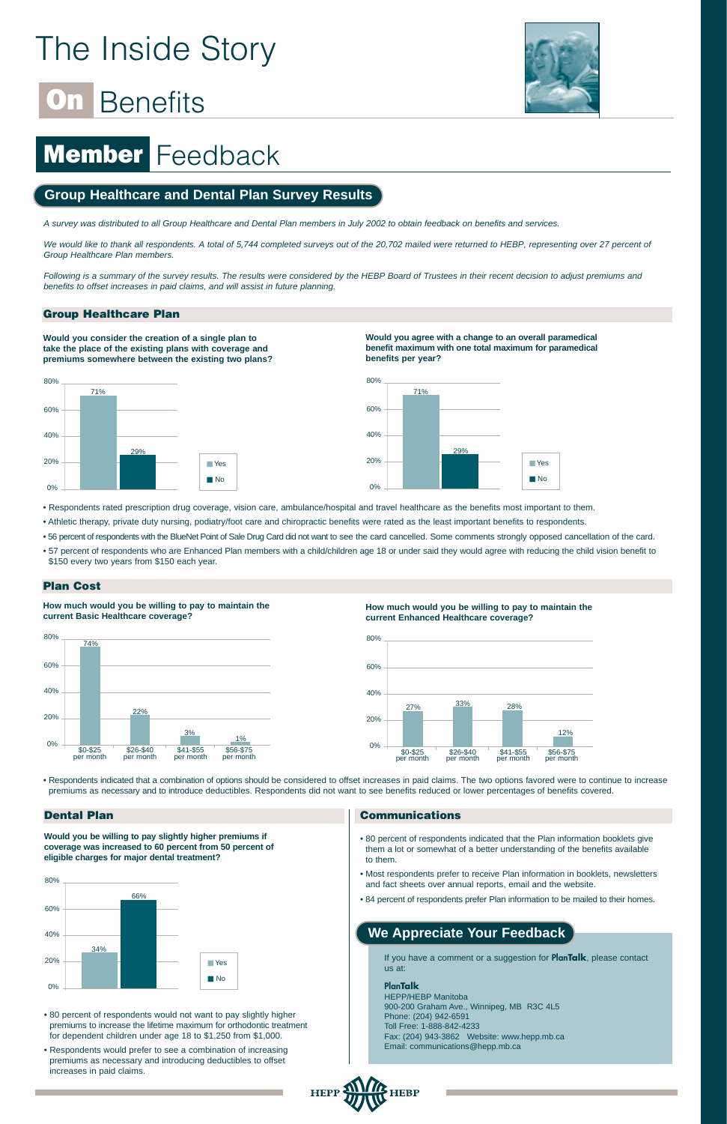## The Inside Story

## **Benefits**

A survey was distributed to all Group Healthcare and Dental Plan members in July 2002 to obtain feedback on benefits and services.

We would like to thank all respondents. A total of 5,744 completed surveys out of the 20,702 mailed were returned to HEBP, representing over 27 percent of Group Healthcare Plan members.

Following is a summary of the survey results. The results were considered by the HEBP Board of Trustees in their recent decision to adjust premiums and benefits to offset increases in paid claims, and will assist in future planning.

**Would you consider the creation of a single plan to take the place of the existing plans with coverage and premiums somewhere between the existing two plans?** 



#### **Group Healthcare Plan**

## Member Feedback

#### **Group Healthcare and Dental Plan Survey Results**

**How much would you be willing to pay to maintain the current Basic Healthcare coverage?** 



**Would you agree with a change to an overall paramedical benefit maximum with one total maximum for paramedical benefits per year?**



**Would you be willing to pay slightly higher premiums if coverage was increased to 60 percent from 50 percent of eligible charges for major dental treatment?**

• Respondents rated prescription drug coverage, vision care, ambulance/hospital and travel healthcare as the benefits most important to them.



- Athletic therapy, private duty nursing, podiatry/foot care and chiropractic benefits were rated as the least important benefits to respondents.
- 56 percent of respondents with the BlueNet Point of Sale Drug Card did not want to see the card cancelled. Some comments strongly opposed cancellation of the card.
- 57 percent of respondents who are Enhanced Plan members with a child/children age 18 or under said they would agree with reducing the child vision benefit to \$150 every two years from \$150 each year.

#### **Plan Cost**

#### **Dental Plan**

**How much would you be willing to pay to maintain the current Enhanced Healthcare coverage?**



• Respondents indicated that a combination of options should be considered to offset increases in paid claims. The two options favored were to continue to increase premiums as necessary and to introduce deductibles. Respondents did not want to see benefits reduced or lower percentages of benefits covered.



- 80 percent of respondents would not want to pay slightly higher premiums to increase the lifetime maximum for orthodontic treatment for dependent children under age 18 to \$1,250 from \$1,000.
- Respondents would prefer to see a combination of increasing premiums as necessary and introducing deductibles to offset increases in paid claims.

#### **Communications**

- 80 percent of respondents indicated that the Plan information booklets give them a lot or somewhat of a better understanding of the benefits available to them.
- Most respondents prefer to receive Plan information in booklets, newsletters and fact sheets over annual reports, email and the website.
- 84 percent of respondents prefer Plan information to be mailed to their homes.

If you have a comment or a suggestion for **PlanTalk**, please contact us at:

**PlanTalk** HEPP/HEBP Manitoba 900-200 Graham Ave., Winnipeg, MB R3C 4L5 Phone: (204) 942-6591 Toll Free: 1-888-842-4233 Fax: (204) 943-3862 Website: www.hepp.mb.ca Email: communications@hepp.mb.ca



#### **We Appreciate Your Feedback**